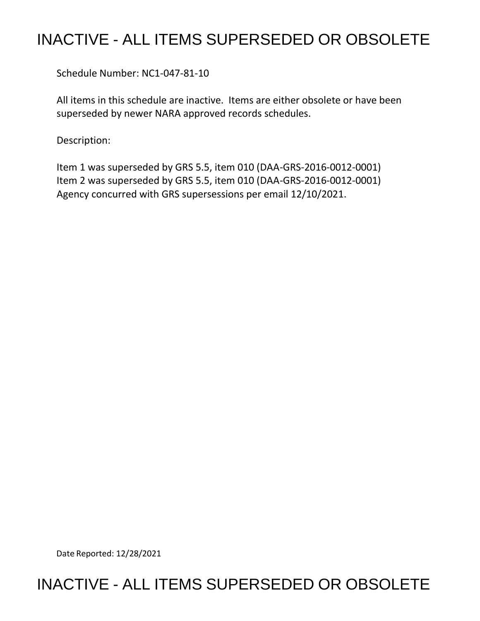## INACTIVE - ALL ITEMS SUPERSEDED OR OBSOLETE

Schedule Number: NC1-047-81-10

 All items in this schedule are inactive. Items are either obsolete or have been superseded by newer NARA approved records schedules.

Description:

 Item 1 was superseded by GRS 5.5, item 010 (DAA-GRS-2016-0012-0001) Item 2 was superseded by GRS 5.5, item 010 (DAA-GRS-2016-0012-0001) Agency concurred with GRS supersessions per email 12/10/2021.

Date Reported: 12/28/2021

## INACTIVE - ALL ITEMS SUPERSEDED OR OBSOLETE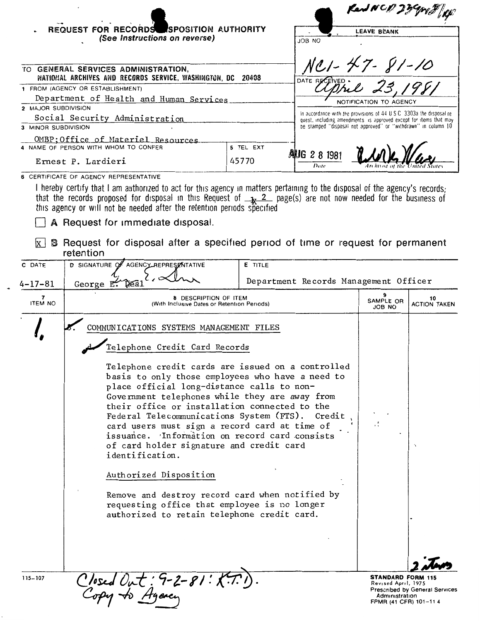|                                         | REQUEST FOR RECORDS SPOSITION AUTHORITY                                                                                                                                                                                                                                                                                                                                                                                                                                    |                                   |                                                                                                                                            | Rend NCD 23 Great fig<br><b>LEAVE BLANK</b> |                           |  |  |
|-----------------------------------------|----------------------------------------------------------------------------------------------------------------------------------------------------------------------------------------------------------------------------------------------------------------------------------------------------------------------------------------------------------------------------------------------------------------------------------------------------------------------------|-----------------------------------|--------------------------------------------------------------------------------------------------------------------------------------------|---------------------------------------------|---------------------------|--|--|
|                                         | (See Instructions on reverse)<br>TO GENERAL SERVICES ADMINISTRATION,<br>NATIONAL ARCHIVES AND RECORDS SERVICE, WASHINGTON, DC                                                                                                                                                                                                                                                                                                                                              | ON ROL<br>NC1-47-81-10<br>DATE RE |                                                                                                                                            |                                             |                           |  |  |
|                                         | 1 FROM (AGENCY OR ESTABLISHMENT)                                                                                                                                                                                                                                                                                                                                                                                                                                           |                                   |                                                                                                                                            |                                             |                           |  |  |
| Department of Health and Human Services |                                                                                                                                                                                                                                                                                                                                                                                                                                                                            |                                   |                                                                                                                                            | NOTIFICATION TO AGENCY                      |                           |  |  |
| 2 MAJOR SUBDIVISION                     |                                                                                                                                                                                                                                                                                                                                                                                                                                                                            |                                   |                                                                                                                                            |                                             |                           |  |  |
| Social Security Administration          |                                                                                                                                                                                                                                                                                                                                                                                                                                                                            |                                   | In accordance with the provisions of 44 U.S.C. 3303a the disposal re-<br>quest, including amendments is approved except for items that may |                                             |                           |  |  |
| 3 MINOR SUBDIVISION                     |                                                                                                                                                                                                                                                                                                                                                                                                                                                                            |                                   | be stamped "disposal not approved" or "withdrawn" in column 10                                                                             |                                             |                           |  |  |
|                                         | OMBP; Office of Materiel Resources                                                                                                                                                                                                                                                                                                                                                                                                                                         |                                   |                                                                                                                                            |                                             |                           |  |  |
| 4 NAME OF PERSON WITH WHOM TO CONFER    |                                                                                                                                                                                                                                                                                                                                                                                                                                                                            | 5 TEL EXT                         | ANUG 2 8 1981                                                                                                                              |                                             |                           |  |  |
| Ernest P. Lardieri                      |                                                                                                                                                                                                                                                                                                                                                                                                                                                                            | 45770                             | Date                                                                                                                                       |                                             |                           |  |  |
| $x \mid$                                | I hereby certify that I am authorized to act for this agency in matters pertaining to the disposal of the agency's records;<br>that the records proposed for disposal in this Request of $\frac{1}{2}$ page(s) are not now needed for the business of this agency or will not be needed after the retention periods specified<br>A Request for immediate disposal.<br><b>B</b> Request for disposal after a specified period of time or request for permanent<br>retention |                                   |                                                                                                                                            |                                             |                           |  |  |
| C DATE                                  | D SIGNATURE OF AGENCY REPRESENTATIVE                                                                                                                                                                                                                                                                                                                                                                                                                                       | E TITLE                           |                                                                                                                                            |                                             |                           |  |  |
| $4 - 17 - 81$                           | George $E$ .<br>Déa.                                                                                                                                                                                                                                                                                                                                                                                                                                                       |                                   | Department Records Management Officer                                                                                                      |                                             |                           |  |  |
| 7<br><b>ITEM NO</b>                     | 8 DESCRIPTION OF ITEM<br>(With Inclusive Dates or Retention Periods)                                                                                                                                                                                                                                                                                                                                                                                                       |                                   |                                                                                                                                            | SAMPLE OR<br>JOB NO                         | 10<br><b>ACTION TAKEN</b> |  |  |
|                                         | COMMUNICATIONS SYSTEMS MANAGEMENT FILES                                                                                                                                                                                                                                                                                                                                                                                                                                    |                                   |                                                                                                                                            |                                             |                           |  |  |
|                                         | Telephone Credit Card Records                                                                                                                                                                                                                                                                                                                                                                                                                                              |                                   |                                                                                                                                            |                                             |                           |  |  |
|                                         | Telephone credit cards are issued on a controlled<br>to a contract and continued a state to a contract and                                                                                                                                                                                                                                                                                                                                                                 |                                   |                                                                                                                                            |                                             |                           |  |  |

basis to only those employees who have a need to place official long-distance calls to non-Government telephones while they are away from their office or installation connected to the Federal Telecommunications System (FTS). Credit card users must sign a record card at time of issuance. Information on record card consists of card holder signature and credit card identification. Authorized Disposition Remove and destroy record card when notified by requesting office that employee is no longer authorized to retain telephone credit card. Closed Out: 9-2-81: K. **STANDARD FORM 115** 

Revised April, 1975 Prescribed by General Services Administration FPMR (41 CFR) 101-114

115-107